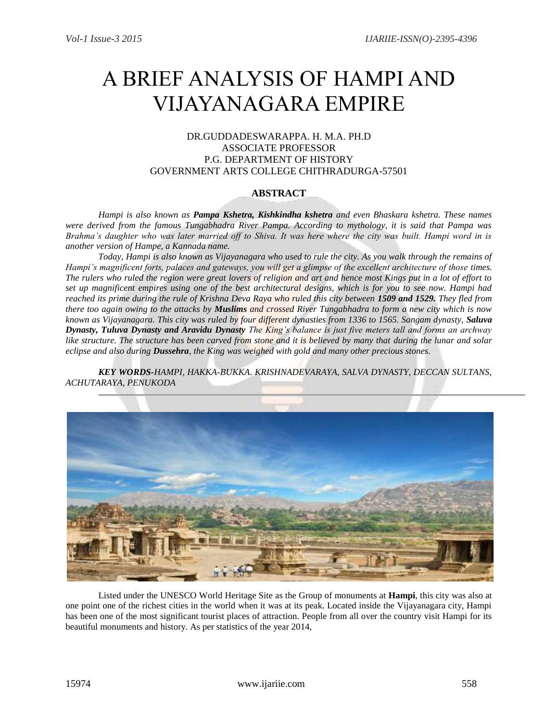# A BRIEF ANALYSIS OF HAMPI AND VIJAYANAGARA EMPIRE

# DR.GUDDADESWARAPPA. H. M.A. PH.D ASSOCIATE PROFESSOR P.G. DEPARTMENT OF HISTORY GOVERNMENT ARTS COLLEGE CHITHRADURGA-57501

# **ABSTRACT**

*Hampi is also known as Pampa Kshetra, Kishkindha kshetra and even Bhaskara kshetra. These names were derived from the famous Tungabhadra River Pampa. According to mythology, it is said that Pampa was Brahma's daughter who was later married off to Shiva. It was here where the city was built. Hampi word in is another version of Hampe, a Kannada name.* 

*Today, Hampi is also known as Vijayanagara who used to rule the city. As you walk through the remains of Hampi's magnificent forts, palaces and gateways, you will get a glimpse of the excellent architecture of those times. The rulers who ruled the region were great lovers of religion and art and hence most Kings put in a lot of effort to set up magnificent empires using one of the best architectural designs, which is for you to see now. Hampi had reached its prime during the rule of Krishna Deva Raya who ruled this city between 1509 and 1529. They fled from there too again owing to the attacks by Muslims and crossed River Tungabhadra to form a new city which is now known as Vijayanagara. This city was ruled by four different dynasties from 1336 to 1565. Sangam dynasty, Saluva Dynasty, Tuluva Dynasty and Aravidu Dynasty The King's balance is just five meters tall and forms an archway*  like structure. The structure has been carved from stone and it is believed by many that during the lunar and solar *eclipse and also during Dussehra, the King was weighed with gold and many other precious stones.* 

*KEY WORDS-HAMPI, HAKKA-BUKKA. KRISHNADEVARAYA, SALVA DYNASTY, DECCAN SULTANS, ACHUTARAYA, PENUKODA*



Listed under the UNESCO World Heritage Site as the Group of monuments at **Hampi**, this city was also at one point one of the richest cities in the world when it was at its peak. Located inside the Vijayanagara city, Hampi has been one of the most significant tourist places of attraction. People from all over the country visit Hampi for its beautiful monuments and history. As per statistics of the year 2014,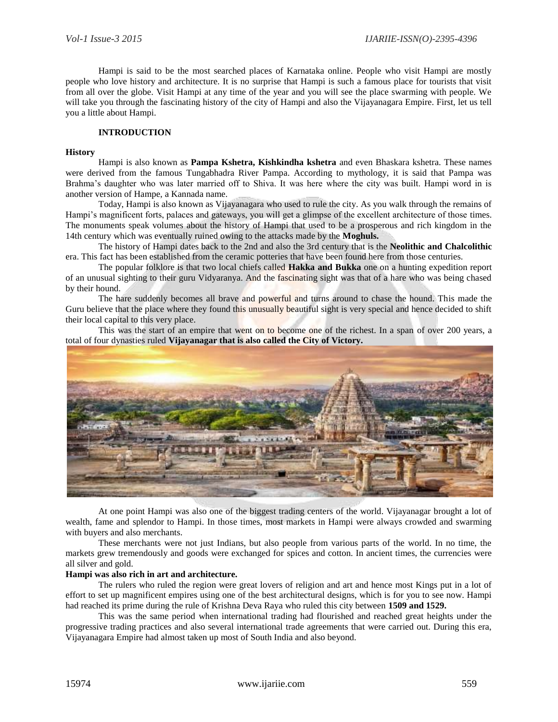Hampi is said to be the most searched places of Karnataka online. People who visit Hampi are mostly people who love history and architecture. It is no surprise that Hampi is such a famous place for tourists that visit from all over the globe. Visit Hampi at any time of the year and you will see the place swarming with people. We will take you through the fascinating history of the city of Hampi and also the Vijayanagara Empire. First, let us tell you a little about Hampi.

# **INTRODUCTION**

#### **History**

Hampi is also known as **Pampa Kshetra, Kishkindha kshetra** and even Bhaskara kshetra. These names were derived from the famous Tungabhadra River Pampa. According to mythology, it is said that Pampa was Brahma's daughter who was later married off to Shiva. It was here where the city was built. Hampi word in is another version of Hampe, a Kannada name.

Today, Hampi is also known as Vijayanagara who used to rule the city. As you walk through the remains of Hampi's magnificent forts, palaces and gateways, you will get a glimpse of the excellent architecture of those times. The monuments speak volumes about the history of Hampi that used to be a prosperous and rich kingdom in the 14th century which was eventually ruined owing to the attacks made by the **Moghuls.**

The history of Hampi dates back to the 2nd and also the 3rd century that is the **Neolithic and Chalcolithic**  era. This fact has been established from the ceramic potteries that have been found here from those centuries.

The popular folklore is that two local chiefs called **Hakka and Bukka** one on a hunting expedition report of an unusual sighting to their guru Vidyaranya. And the fascinating sight was that of a hare who was being chased by their hound.

The hare suddenly becomes all brave and powerful and turns around to chase the hound. This made the Guru believe that the place where they found this unusually beautiful sight is very special and hence decided to shift their local capital to this very place.

This was the start of an empire that went on to become one of the richest. In a span of over 200 years, a total of four dynasties ruled **Vijayanagar that is also called the City of Victory.**



At one point Hampi was also one of the biggest trading centers of the world. Vijayanagar brought a lot of wealth, fame and splendor to Hampi. In those times, most markets in Hampi were always crowded and swarming with buyers and also merchants.

These merchants were not just Indians, but also people from various parts of the world. In no time, the markets grew tremendously and goods were exchanged for spices and cotton. In ancient times, the currencies were all silver and gold.

# **Hampi was also rich in art and architecture.**

The rulers who ruled the region were great lovers of religion and art and hence most Kings put in a lot of effort to set up magnificent empires using one of the best architectural designs, which is for you to see now. Hampi had reached its prime during the rule of Krishna Deva Raya who ruled this city between **1509 and 1529.**

This was the same period when international trading had flourished and reached great heights under the progressive trading practices and also several international trade agreements that were carried out. During this era, Vijayanagara Empire had almost taken up most of South India and also beyond.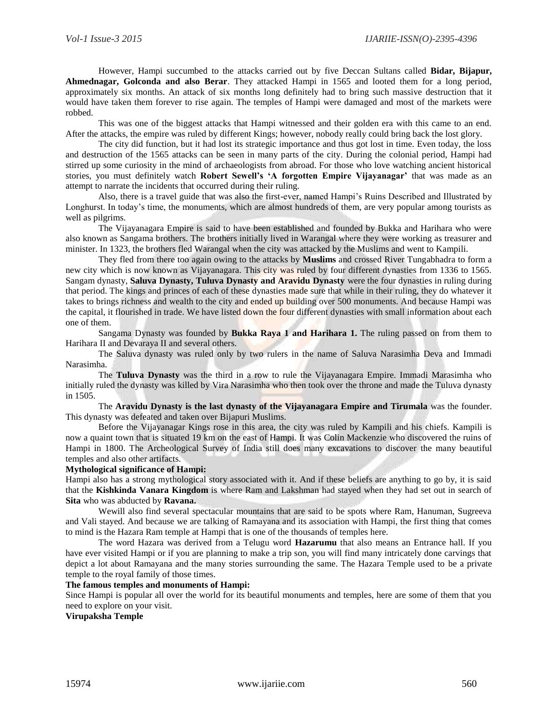However, Hampi succumbed to the attacks carried out by five Deccan Sultans called **Bidar, Bijapur, Ahmednagar, Golconda and also Berar**. They attacked Hampi in 1565 and looted them for a long period, approximately six months. An attack of six months long definitely had to bring such massive destruction that it would have taken them forever to rise again. The temples of Hampi were damaged and most of the markets were robbed.

This was one of the biggest attacks that Hampi witnessed and their golden era with this came to an end. After the attacks, the empire was ruled by different Kings; however, nobody really could bring back the lost glory.

The city did function, but it had lost its strategic importance and thus got lost in time. Even today, the loss and destruction of the 1565 attacks can be seen in many parts of the city. During the colonial period, Hampi had stirred up some curiosity in the mind of archaeologists from abroad. For those who love watching ancient historical stories, you must definitely watch **Robert Sewell's 'A forgotten Empire Vijayanagar'** that was made as an attempt to narrate the incidents that occurred during their ruling.

Also, there is a travel guide that was also the first-ever, named Hampi's Ruins Described and Illustrated by Longhurst. In today's time, the monuments, which are almost hundreds of them, are very popular among tourists as well as pilgrims.

The Vijayanagara Empire is said to have been established and founded by Bukka and Harihara who were also known as Sangama brothers. The brothers initially lived in Warangal where they were working as treasurer and minister. In 1323, the brothers fled Warangal when the city was attacked by the Muslims and went to Kampili.

They fled from there too again owing to the attacks by **Muslims** and crossed River Tungabhadra to form a new city which is now known as Vijayanagara. This city was ruled by four different dynasties from 1336 to 1565. Sangam dynasty, **Saluva Dynasty, Tuluva Dynasty and Aravidu Dynasty** were the four dynasties in ruling during that period. The kings and princes of each of these dynasties made sure that while in their ruling, they do whatever it takes to brings richness and wealth to the city and ended up building over 500 monuments. And because Hampi was the capital, it flourished in trade. We have listed down the four different dynasties with small information about each one of them.

Sangama Dynasty was founded by **Bukka Raya 1 and Harihara 1.** The ruling passed on from them to Harihara II and Devaraya II and several others.

The Saluva dynasty was ruled only by two rulers in the name of Saluva Narasimha Deva and Immadi Narasimha.

The **Tuluva Dynasty** was the third in a row to rule the Vijayanagara Empire. Immadi Marasimha who initially ruled the dynasty was killed by Vira Narasimha who then took over the throne and made the Tuluva dynasty in 1505.

The **Aravidu Dynasty is the last dynasty of the Vijayanagara Empire and Tirumala** was the founder. This dynasty was defeated and taken over Bijapuri Muslims.

Before the Vijayanagar Kings rose in this area, the city was ruled by Kampili and his chiefs. Kampili is now a quaint town that is situated 19 km on the east of Hampi. It was Colin Mackenzie who discovered the ruins of Hampi in 1800. The Archeological Survey of India still does many excavations to discover the many beautiful temples and also other artifacts.

## **Mythological significance of Hampi:**

Hampi also has a strong mythological story associated with it. And if these beliefs are anything to go by, it is said that the **Kishkinda Vanara Kingdom** is where Ram and Lakshman had stayed when they had set out in search of **Sita** who was abducted by **Ravana.**

Wewill also find several spectacular mountains that are said to be spots where Ram, Hanuman, Sugreeva and Vali stayed. And because we are talking of Ramayana and its association with Hampi, the first thing that comes to mind is the Hazara Ram temple at Hampi that is one of the thousands of temples here.

The word Hazara was derived from a Telugu word **Hazarumu** that also means an Entrance hall. If you have ever visited Hampi or if you are planning to make a trip son, you will find many intricately done carvings that depict a lot about Ramayana and the many stories surrounding the same. The Hazara Temple used to be a private temple to the royal family of those times.

#### **The famous temples and monuments of Hampi:**

Since Hampi is popular all over the world for its beautiful monuments and temples, here are some of them that you need to explore on your visit.

**Virupaksha Temple**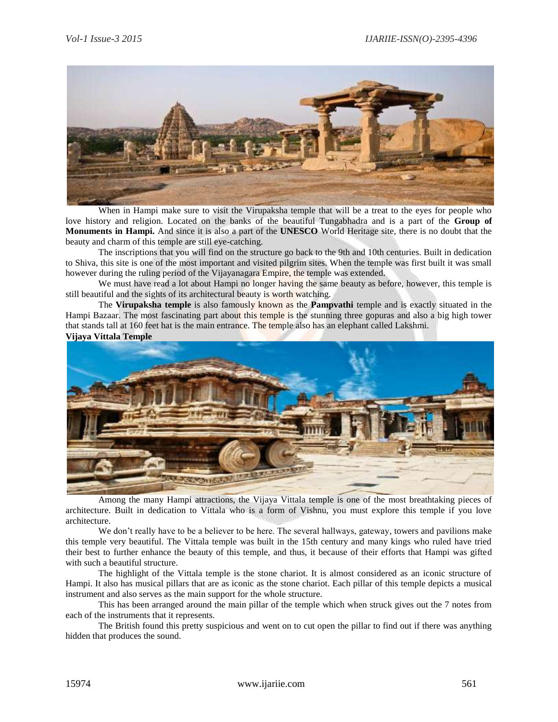

When in Hampi make sure to visit the Virupaksha temple that will be a treat to the eyes for people who love history and religion. Located on the banks of the beautiful Tungabhadra and is a part of the **Group of Monuments in Hampi.** And since it is also a part of the **UNESCO** World Heritage site, there is no doubt that the beauty and charm of this temple are still eye-catching.

The inscriptions that you will find on the structure go back to the 9th and 10th centuries. Built in dedication to Shiva, this site is one of the most important and visited pilgrim sites. When the temple was first built it was small however during the ruling period of the Vijayanagara Empire, the temple was extended.

We must have read a lot about Hampi no longer having the same beauty as before, however, this temple is still beautiful and the sights of its architectural beauty is worth watching.

The **Virupaksha temple** is also famously known as the **Pampvathi** temple and is exactly situated in the Hampi Bazaar. The most fascinating part about this temple is the stunning three gopuras and also a big high tower that stands tall at 160 feet hat is the main entrance. The temple also has an elephant called Lakshmi. **Vijaya Vittala Temple**



Among the many Hampi attractions, the Vijaya Vittala temple is one of the most breathtaking pieces of architecture. Built in dedication to Vittala who is a form of Vishnu, you must explore this temple if you love architecture.

We don't really have to be a believer to be here. The several hallways, gateway, towers and pavilions make this temple very beautiful. The Vittala temple was built in the 15th century and many kings who ruled have tried their best to further enhance the beauty of this temple, and thus, it because of their efforts that Hampi was gifted with such a beautiful structure.

The highlight of the Vittala temple is the stone chariot. It is almost considered as an iconic structure of Hampi. It also has musical pillars that are as iconic as the stone chariot. Each pillar of this temple depicts a musical instrument and also serves as the main support for the whole structure.

This has been arranged around the main pillar of the temple which when struck gives out the 7 notes from each of the instruments that it represents.

The British found this pretty suspicious and went on to cut open the pillar to find out if there was anything hidden that produces the sound.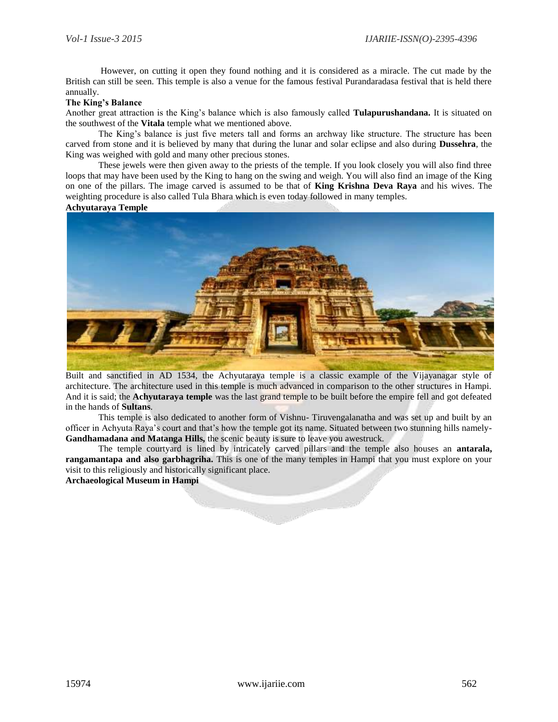However, on cutting it open they found nothing and it is considered as a miracle. The cut made by the British can still be seen. This temple is also a venue for the famous festival Purandaradasa festival that is held there annually.

### **The King's Balance**

Another great attraction is the King's balance which is also famously called **Tulapurushandana.** It is situated on the southwest of the **Vitala** temple what we mentioned above.

The King's balance is just five meters tall and forms an archway like structure. The structure has been carved from stone and it is believed by many that during the lunar and solar eclipse and also during **Dussehra**, the King was weighed with gold and many other precious stones.

These jewels were then given away to the priests of the temple. If you look closely you will also find three loops that may have been used by the King to hang on the swing and weigh. You will also find an image of the King on one of the pillars. The image carved is assumed to be that of **King Krishna Deva Raya** and his wives. The weighting procedure is also called Tula Bhara which is even today followed in many temples.

#### **Achyutaraya Temple**



Built and sanctified in AD 1534, the Achyutaraya temple is a classic example of the Vijayanagar style of architecture. The architecture used in this temple is much advanced in comparison to the other structures in Hampi. And it is said; the **Achyutaraya temple** was the last grand temple to be built before the empire fell and got defeated in the hands of **Sultans**.

This temple is also dedicated to another form of Vishnu- Tiruvengalanatha and was set up and built by an officer in Achyuta Raya's court and that's how the temple got its name. Situated between two stunning hills namely-**Gandhamadana and Matanga Hills,** the scenic beauty is sure to leave you awestruck.

The temple courtyard is lined by intricately carved pillars and the temple also houses an **antarala, rangamantapa and also garbhagriha.** This is one of the many temples in Hampi that you must explore on your visit to this religiously and historically significant place.

**Archaeological Museum in Hampi**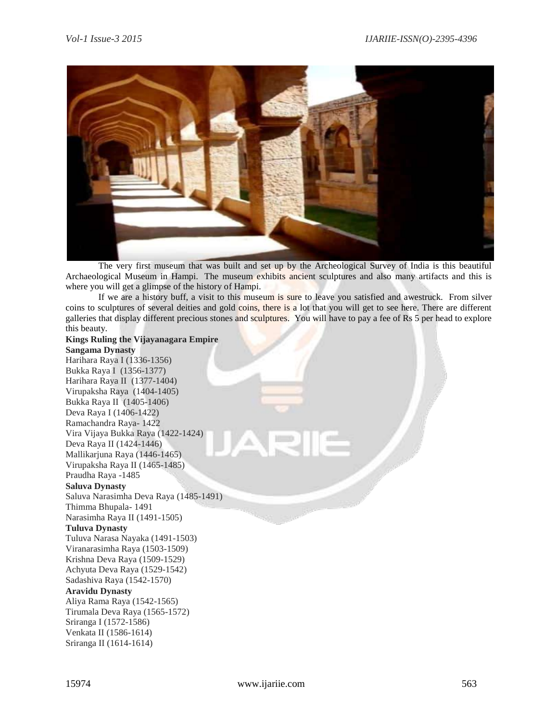

The very first museum that was built and set up by the Archeological Survey of India is this beautiful Archaeological Museum in Hampi. The museum exhibits ancient sculptures and also many artifacts and this is where you will get a glimpse of the history of Hampi.

If we are a history buff, a visit to this museum is sure to leave you satisfied and awestruck. From silver coins to sculptures of several deities and gold coins, there is a lot that you will get to see here. There are different galleries that display different precious stones and sculptures. You will have to pay a fee of Rs 5 per head to explore this beauty.

**Kings Ruling the Vijayanagara Empire Sangama Dynasty** Harihara Raya I (1336-1356) Bukka Raya I (1356-1377) Harihara Raya II (1377-1404) Virupaksha Raya (1404-1405) Bukka Raya II (1405-1406) Deva Raya I (1406-1422) Ramachandra Raya- 1422 Vira Vijaya Bukka Raya (1422-1424) Deva Raya II (1424-1446) Mallikarjuna Raya (1446-1465) Virupaksha Raya II (1465-1485) Praudha Raya -1485 **Saluva Dynasty** Saluva Narasimha Deva Raya (1485-1491) Thimma Bhupala- 1491 Narasimha Raya II (1491-1505) **Tuluva Dynasty** Tuluva Narasa Nayaka (1491-1503) Viranarasimha Raya (1503-1509) Krishna Deva Raya (1509-1529) Achyuta Deva Raya (1529-1542) Sadashiva Raya (1542-1570) **Aravidu Dynasty** Aliya Rama Raya (1542-1565) Tirumala Deva Raya (1565-1572) Sriranga I (1572-1586) Venkata II (1586-1614) Sriranga II (1614-1614)